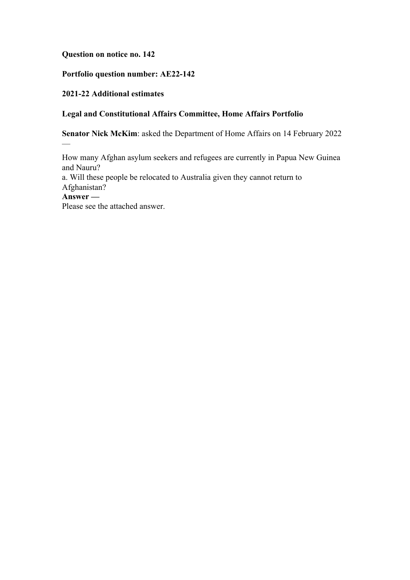## **Question on notice no. 142**

# **Portfolio question number: AE22-142**

## **2021-22 Additional estimates**

# **Legal and Constitutional Affairs Committee, Home Affairs Portfolio**

**Senator Nick McKim**: asked the Department of Home Affairs on 14 February 2022

How many Afghan asylum seekers and refugees are currently in Papua New Guinea and Nauru?

a. Will these people be relocated to Australia given they cannot return to Afghanistan?

**Answer —**

—

Please see the attached answer.